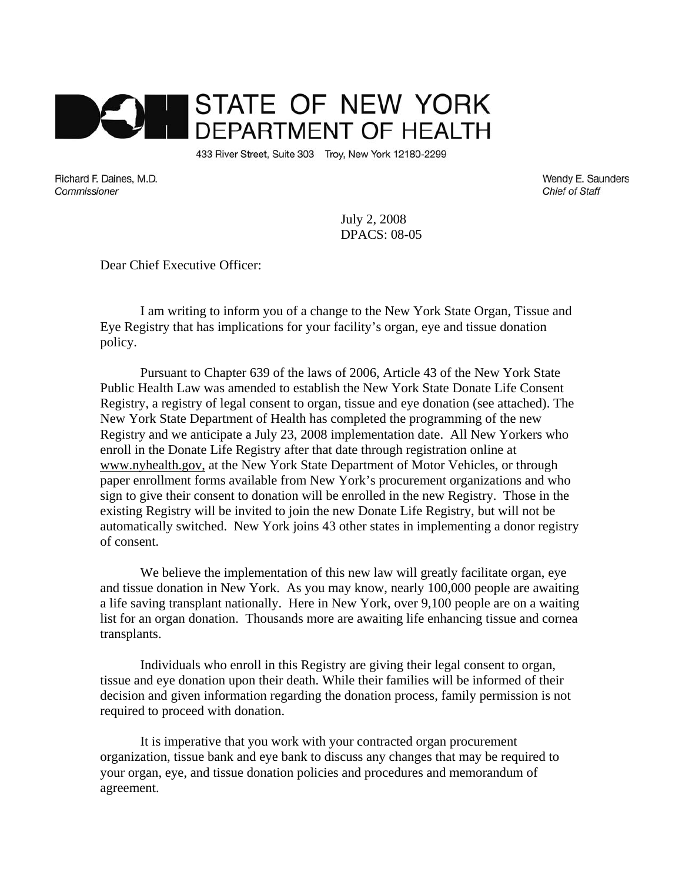

433 River Street, Suite 303 Troy, New York 12180-2299

Richard F. Daines, M.D. Commissioner

Wendy E. Saunders **Chief of Staff** 

July 2, 2008 DPACS: 08-05

Dear Chief Executive Officer:

I am writing to inform you of a change to the New York State Organ, Tissue and Eye Registry that has implications for your facility's organ, eye and tissue donation policy.

Pursuant to Chapter 639 of the laws of 2006, Article 43 of the New York State Public Health Law was amended to establish the New York State Donate Life Consent Registry, a registry of legal consent to organ, tissue and eye donation (see attached). The New York State Department of Health has completed the programming of the new Registry and we anticipate a July 23, 2008 implementation date. All New Yorkers who enroll in the Donate Life Registry after that date through registration online at www.nyhealth.gov, at the New York State Department of Motor Vehicles, or through paper enrollment forms available from New York's procurement organizations and who sign to give their consent to donation will be enrolled in the new Registry. Those in the existing Registry will be invited to join the new Donate Life Registry, but will not be automatically switched. New York joins 43 other states in implementing a donor registry of consent.

We believe the implementation of this new law will greatly facilitate organ, eye and tissue donation in New York. As you may know, nearly 100,000 people are awaiting a life saving transplant nationally. Here in New York, over 9,100 people are on a waiting list for an organ donation. Thousands more are awaiting life enhancing tissue and cornea transplants.

Individuals who enroll in this Registry are giving their legal consent to organ, tissue and eye donation upon their death. While their families will be informed of their decision and given information regarding the donation process, family permission is not required to proceed with donation.

It is imperative that you work with your contracted organ procurement organization, tissue bank and eye bank to discuss any changes that may be required to your organ, eye, and tissue donation policies and procedures and memorandum of agreement.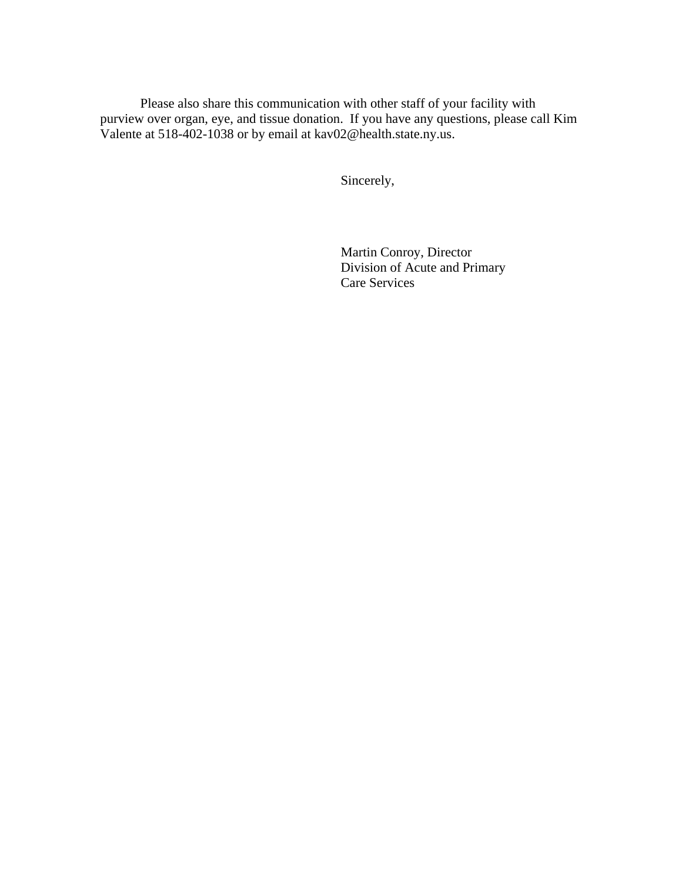Please also share this communication with other staff of your facility with purview over organ, eye, and tissue donation. If you have any questions, please call Kim Valente at 518-402-1038 or by email at kav02@health.state.ny.us.

Sincerely,

Martin Conroy, Director Division of Acute and Primary Care Services